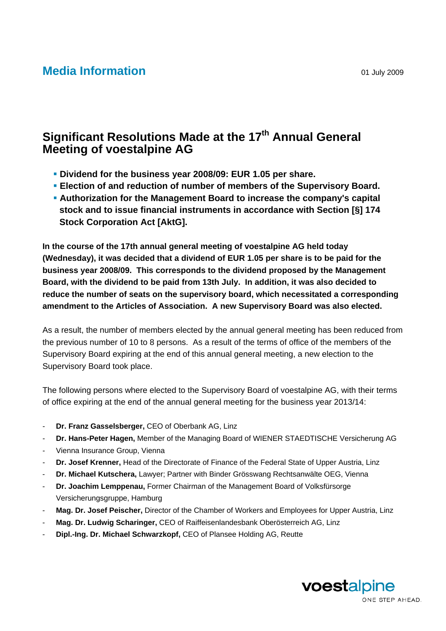## **Media Information Media** 101 July 2009

## **Significant Resolutions Made at the 17<sup>th</sup> Annual General Meeting of voestalpine AG**

- **Dividend for the business year 2008/09: EUR 1.05 per share.**
- **Election of and reduction of number of members of the Supervisory Board.**
- **Authorization for the Management Board to increase the company's capital stock and to issue financial instruments in accordance with Section [§] 174 Stock Corporation Act [AktG].**

**In the course of the 17th annual general meeting of voestalpine AG held today (Wednesday), it was decided that a dividend of EUR 1.05 per share is to be paid for the business year 2008/09. This corresponds to the dividend proposed by the Management Board, with the dividend to be paid from 13th July. In addition, it was also decided to reduce the number of seats on the supervisory board, which necessitated a corresponding amendment to the Articles of Association. A new Supervisory Board was also elected.** 

As a result, the number of members elected by the annual general meeting has been reduced from the previous number of 10 to 8 persons. As a result of the terms of office of the members of the Supervisory Board expiring at the end of this annual general meeting, a new election to the Supervisory Board took place.

The following persons where elected to the Supervisory Board of voestalpine AG, with their terms of office expiring at the end of the annual general meeting for the business year 2013/14:

- **Dr. Franz Gasselsberger,** CEO of Oberbank AG, Linz
- **Dr. Hans-Peter Hagen,** Member of the Managing Board of WIENER STAEDTISCHE Versicherung AG
- Vienna Insurance Group, Vienna
- Dr. Josef Krenner, Head of the Directorate of Finance of the Federal State of Upper Austria, Linz
- **Dr. Michael Kutschera,** Lawyer; Partner with Binder Grösswang Rechtsanwälte OEG, Vienna
- **Dr. Joachim Lemppenau,** Former Chairman of the Management Board of Volksfürsorge Versicherungsgruppe, Hamburg
- **Mag. Dr. Josef Peischer,** Director of the Chamber of Workers and Employees for Upper Austria, Linz
- **Mag. Dr. Ludwig Scharinger,** CEO of Raiffeisenlandesbank Oberösterreich AG, Linz
- **Dipl.-Ing. Dr. Michael Schwarzkopf,** CEO of Plansee Holding AG, Reutte

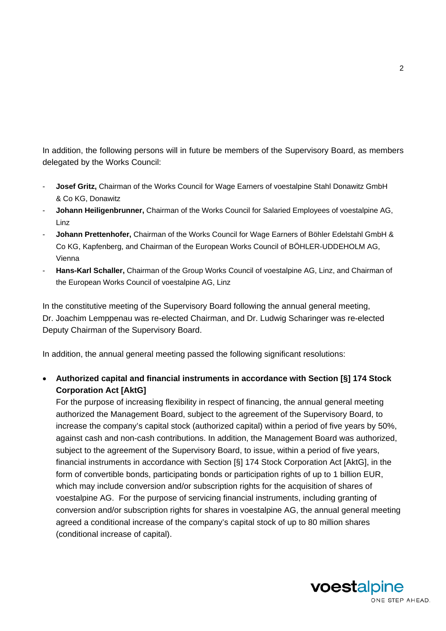In addition, the following persons will in future be members of the Supervisory Board, as members delegated by the Works Council:

- **Josef Gritz,** Chairman of the Works Council for Wage Earners of voestalpine Stahl Donawitz GmbH & Co KG, Donawitz
- **Johann Heiligenbrunner,** Chairman of the Works Council for Salaried Employees of voestalpine AG, Linz
- **Johann Prettenhofer,** Chairman of the Works Council for Wage Earners of Böhler Edelstahl GmbH & Co KG, Kapfenberg, and Chairman of the European Works Council of BÖHLER-UDDEHOLM AG, Vienna
- **Hans-Karl Schaller,** Chairman of the Group Works Council of voestalpine AG, Linz, and Chairman of the European Works Council of voestalpine AG, Linz

In the constitutive meeting of the Supervisory Board following the annual general meeting, Dr. Joachim Lemppenau was re-elected Chairman, and Dr. Ludwig Scharinger was re-elected Deputy Chairman of the Supervisory Board.

In addition, the annual general meeting passed the following significant resolutions:

• **Authorized capital and financial instruments in accordance with Section [§] 174 Stock Corporation Act [AktG]** 

For the purpose of increasing flexibility in respect of financing, the annual general meeting authorized the Management Board, subject to the agreement of the Supervisory Board, to increase the company's capital stock (authorized capital) within a period of five years by 50%, against cash and non-cash contributions. In addition, the Management Board was authorized, subject to the agreement of the Supervisory Board, to issue, within a period of five years, financial instruments in accordance with Section [§] 174 Stock Corporation Act [AktG], in the form of convertible bonds, participating bonds or participation rights of up to 1 billion EUR, which may include conversion and/or subscription rights for the acquisition of shares of voestalpine AG. For the purpose of servicing financial instruments, including granting of conversion and/or subscription rights for shares in voestalpine AG, the annual general meeting agreed a conditional increase of the company's capital stock of up to 80 million shares (conditional increase of capital).